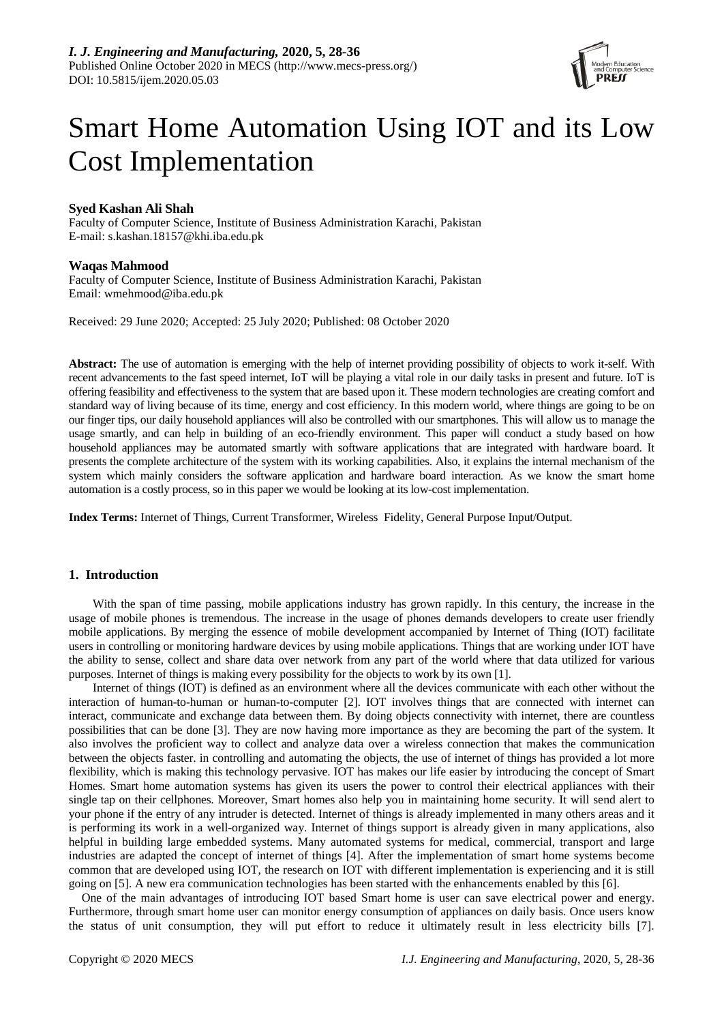

# Smart Home Automation Using IOT and its Low Cost Implementation

# **Syed Kashan Ali Shah**

Faculty of Computer Science, Institute of Business Administration Karachi, Pakistan E-mail: s.kashan.18157@khi.iba.edu.pk

## **Waqas Mahmood**

Faculty of Computer Science, Institute of Business Administration Karachi, Pakistan Email: wmehmood@iba.edu.pk

Received: 29 June 2020; Accepted: 25 July 2020; Published: 08 October 2020

**Abstract:** The use of automation is emerging with the help of internet providing possibility of objects to work it-self. With recent advancements to the fast speed internet, IoT will be playing a vital role in our daily tasks in present and future. IoT is offering feasibility and effectiveness to the system that are based upon it. These modern technologies are creating comfort and standard way of living because of its time, energy and cost efficiency. In this modern world, where things are going to be on our finger tips, our daily household appliances will also be controlled with our smartphones. This will allow us to manage the usage smartly, and can help in building of an eco-friendly environment. This paper will conduct a study based on how household appliances may be automated smartly with software applications that are integrated with hardware board. It presents the complete architecture of the system with its working capabilities. Also, it explains the internal mechanism of the system which mainly considers the software application and hardware board interaction. As we know the smart home automation is a costly process, so in this paper we would be looking at its low-cost implementation.

**Index Terms:** Internet of Things, Current Transformer, Wireless Fidelity, General Purpose Input/Output.

## **1. Introduction**

With the span of time passing, mobile applications industry has grown rapidly. In this century, the increase in the usage of mobile phones is tremendous. The increase in the usage of phones demands developers to create user friendly mobile applications. By merging the essence of mobile development accompanied by Internet of Thing (IOT) facilitate users in controlling or monitoring hardware devices by using mobile applications. Things that are working under IOT have the ability to sense, collect and share data over network from any part of the world where that data utilized for various purposes. Internet of things is making every possibility for the objects to work by its own [1].

Internet of things (IOT) is defined as an environment where all the devices communicate with each other without the interaction of human-to-human or human-to-computer [2]. IOT involves things that are connected with internet can interact, communicate and exchange data between them. By doing objects connectivity with internet, there are countless possibilities that can be done [3]. They are now having more importance as they are becoming the part of the system. It also involves the proficient way to collect and analyze data over a wireless connection that makes the communication between the objects faster. in controlling and automating the objects, the use of internet of things has provided a lot more flexibility, which is making this technology pervasive. IOT has makes our life easier by introducing the concept of Smart Homes. Smart home automation systems has given its users the power to control their electrical appliances with their single tap on their cellphones. Moreover, Smart homes also help you in maintaining home security. It will send alert to your phone if the entry of any intruder is detected. Internet of things is already implemented in many others areas and it is performing its work in a well-organized way. Internet of things support is already given in many applications, also helpful in building large embedded systems. Many automated systems for medical, commercial, transport and large industries are adapted the concept of internet of things [4]. After the implementation of smart home systems become common that are developed using IOT, the research on IOT with different implementation is experiencing and it is still going on [5]. A new era communication technologies has been started with the enhancements enabled by this [6].

One of the main advantages of introducing IOT based Smart home is user can save electrical power and energy. Furthermore, through smart home user can monitor energy consumption of appliances on daily basis. Once users know the status of unit consumption, they will put effort to reduce it ultimately result in less electricity bills [7].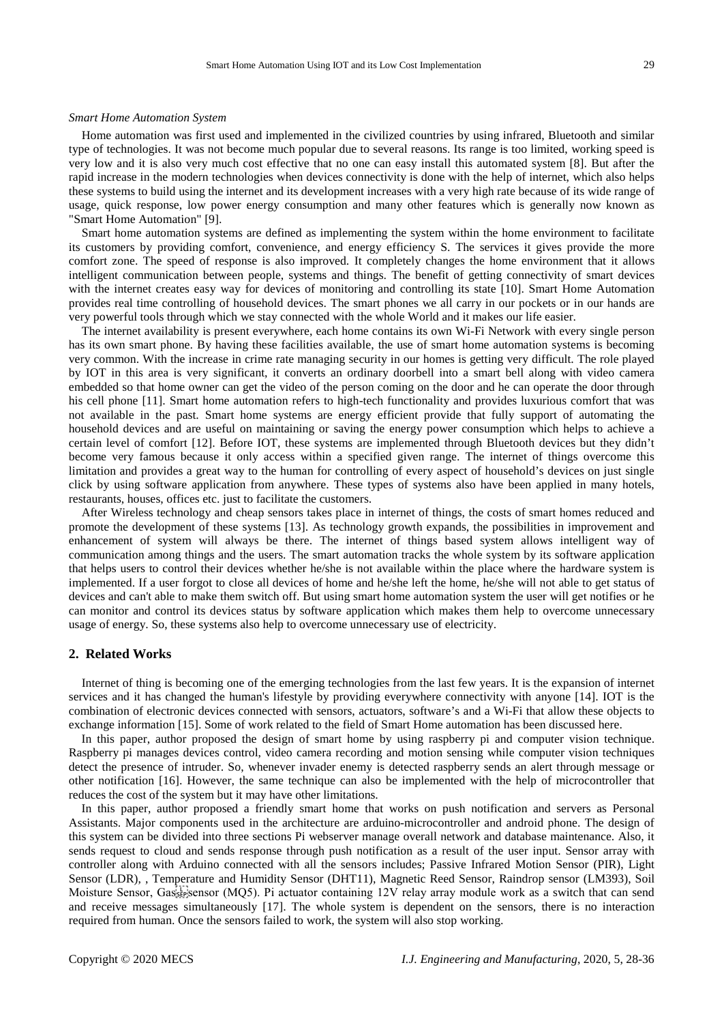#### *Smart Home Automation System*

Home automation was first used and implemented in the civilized countries by using infrared, Bluetooth and similar type of technologies. It was not become much popular due to several reasons. Its range is too limited, working speed is very low and it is also very much cost effective that no one can easy install this automated system [8]. But after the rapid increase in the modern technologies when devices connectivity is done with the help of internet, which also helps these systems to build using the internet and its development increases with a very high rate because of its wide range of usage, quick response, low power energy consumption and many other features which is generally now known as "Smart Home Automation" [9].

Smart home automation systems are defined as implementing the system within the home environment to facilitate its customers by providing comfort, convenience, and energy efficiency S. The services it gives provide the more comfort zone. The speed of response is also improved. It completely changes the home environment that it allows intelligent communication between people, systems and things. The benefit of getting connectivity of smart devices with the internet creates easy way for devices of monitoring and controlling its state [10]. Smart Home Automation provides real time controlling of household devices. The smart phones we all carry in our pockets or in our hands are very powerful tools through which we stay connected with the whole World and it makes our life easier.

The internet availability is present everywhere, each home contains its own Wi-Fi Network with every single person has its own smart phone. By having these facilities available, the use of smart home automation systems is becoming very common. With the increase in crime rate managing security in our homes is getting very difficult. The role played by IOT in this area is very significant, it converts an ordinary doorbell into a smart bell along with video camera embedded so that home owner can get the video of the person coming on the door and he can operate the door through his cell phone [11]. Smart home automation refers to high-tech functionality and provides luxurious comfort that was not available in the past. Smart home systems are energy efficient provide that fully support of automating the household devices and are useful on maintaining or saving the energy power consumption which helps to achieve a certain level of comfort [12]. Before IOT, these systems are implemented through Bluetooth devices but they didn't become very famous because it only access within a specified given range. The internet of things overcome this limitation and provides a great way to the human for controlling of every aspect of household's devices on just single click by using software application from anywhere. These types of systems also have been applied in many hotels, restaurants, houses, offices etc. just to facilitate the customers.

After Wireless technology and cheap sensors takes place in internet of things, the costs of smart homes reduced and promote the development of these systems [13]. As technology growth expands, the possibilities in improvement and enhancement of system will always be there. The internet of things based system allows intelligent way of communication among things and the users. The smart automation tracks the whole system by its software application that helps users to control their devices whether he/she is not available within the place where the hardware system is implemented. If a user forgot to close all devices of home and he/she left the home, he/she will not able to get status of devices and can't able to make them switch off. But using smart home automation system the user will get notifies or he can monitor and control its devices status by software application which makes them help to overcome unnecessary usage of energy. So, these systems also help to overcome unnecessary use of electricity.

## **2. Related Works**

Internet of thing is becoming one of the emerging technologies from the last few years. It is the expansion of internet services and it has changed the human's lifestyle by providing everywhere connectivity with anyone [14]. IOT is the combination of electronic devices connected with sensors, actuators, software's and a Wi-Fi that allow these objects to exchange information [15]. Some of work related to the field of Smart Home automation has been discussed here.

In this paper, author proposed the design of smart home by using raspberry pi and computer vision technique. Raspberry pi manages devices control, video camera recording and motion sensing while computer vision techniques detect the presence of intruder. So, whenever invader enemy is detected raspberry sends an alert through message or other notification [16]. However, the same technique can also be implemented with the help of microcontroller that reduces the cost of the system but it may have other limitations.

In this paper, author proposed a friendly smart home that works on push notification and servers as Personal Assistants. Major components used in the architecture are arduino-microcontroller and android phone. The design of this system can be divided into three sections Pi webserver manage overall network and database maintenance. Also, it sends request to cloud and sends response through push notification as a result of the user input. Sensor array with controller along with Arduino connected with all the sensors includes; Passive Infrared Motion Sensor (PIR), Light Sensor (LDR), , Temperature and Humidity Sensor (DHT11), Magnetic Reed Sensor, Raindrop sensor (LM393), Soil Moisture Sensor, Gassensor (MQ5). Pi actuator containing 12V relay array module work as a switch that can send and receive messages simultaneously [17]. The whole system is dependent on the sensors, there is no interaction required from human. Once the sensors failed to work, the system will also stop working.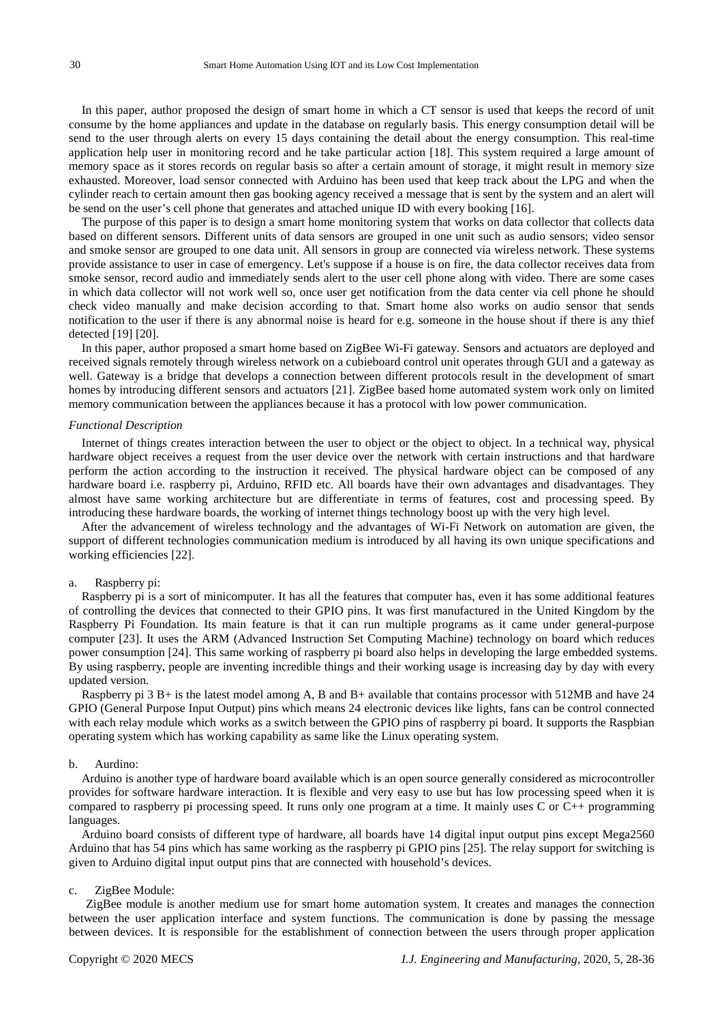In this paper, author proposed the design of smart home in which a CT sensor is used that keeps the record of unit consume by the home appliances and update in the database on regularly basis. This energy consumption detail will be send to the user through alerts on every 15 days containing the detail about the energy consumption. This real-time application help user in monitoring record and he take particular action [18]. This system required a large amount of memory space as it stores records on regular basis so after a certain amount of storage, it might result in memory size exhausted. Moreover, load sensor connected with Arduino has been used that keep track about the LPG and when the cylinder reach to certain amount then gas booking agency received a message that is sent by the system and an alert will be send on the user's cell phone that generates and attached unique ID with every booking [16].

The purpose of this paper is to design a smart home monitoring system that works on data collector that collects data based on different sensors. Different units of data sensors are grouped in one unit such as audio sensors; video sensor and smoke sensor are grouped to one data unit. All sensors in group are connected via wireless network. These systems provide assistance to user in case of emergency. Let's suppose if a house is on fire, the data collector receives data from smoke sensor, record audio and immediately sends alert to the user cell phone along with video. There are some cases in which data collector will not work well so, once user get notification from the data center via cell phone he should check video manually and make decision according to that. Smart home also works on audio sensor that sends notification to the user if there is any abnormal noise is heard for e.g. someone in the house shout if there is any thief detected [19] [20].

In this paper, author proposed a smart home based on ZigBee Wi-Fi gateway. Sensors and actuators are deployed and received signals remotely through wireless network on a cubieboard control unit operates through GUI and a gateway as well. Gateway is a bridge that develops a connection between different protocols result in the development of smart homes by introducing different sensors and actuators [21]. ZigBee based home automated system work only on limited memory communication between the appliances because it has a protocol with low power communication.

#### *Functional Description*

Internet of things creates interaction between the user to object or the object to object. In a technical way, physical hardware object receives a request from the user device over the network with certain instructions and that hardware perform the action according to the instruction it received. The physical hardware object can be composed of any hardware board i.e. raspberry pi, Arduino, RFID etc. All boards have their own advantages and disadvantages. They almost have same working architecture but are differentiate in terms of features, cost and processing speed. By introducing these hardware boards, the working of internet things technology boost up with the very high level.

After the advancement of wireless technology and the advantages of Wi-Fi Network on automation are given, the support of different technologies communication medium is introduced by all having its own unique specifications and working efficiencies [22].

## a. Raspberry pi:

Raspberry pi is a sort of minicomputer. It has all the features that computer has, even it has some additional features of controlling the devices that connected to their GPIO pins. It was first manufactured in the United Kingdom by the Raspberry Pi Foundation. Its main feature is that it can run multiple programs as it came under general-purpose computer [23]. It uses the ARM (Advanced Instruction Set Computing Machine) technology on board which reduces power consumption [24]. This same working of raspberry pi board also helps in developing the large embedded systems. By using raspberry, people are inventing incredible things and their working usage is increasing day by day with every updated version.

Raspberry pi 3 B+ is the latest model among A, B and B+ available that contains processor with 512MB and have 24 GPIO (General Purpose Input Output) pins which means 24 electronic devices like lights, fans can be control connected with each relay module which works as a switch between the GPIO pins of raspberry pi board. It supports the Raspbian operating system which has working capability as same like the Linux operating system.

#### b. Aurdino:

Arduino is another type of hardware board available which is an open source generally considered as microcontroller provides for software hardware interaction. It is flexible and very easy to use but has low processing speed when it is compared to raspberry pi processing speed. It runs only one program at a time. It mainly uses C or C++ programming languages.

Arduino board consists of different type of hardware, all boards have 14 digital input output pins except Mega2560 Arduino that has 54 pins which has same working as the raspberry pi GPIO pins [25]. The relay support for switching is given to Arduino digital input output pins that are connected with household's devices.

#### c. ZigBee Module:

ZigBee module is another medium use for smart home automation system. It creates and manages the connection between the user application interface and system functions. The communication is done by passing the message between devices. It is responsible for the establishment of connection between the users through proper application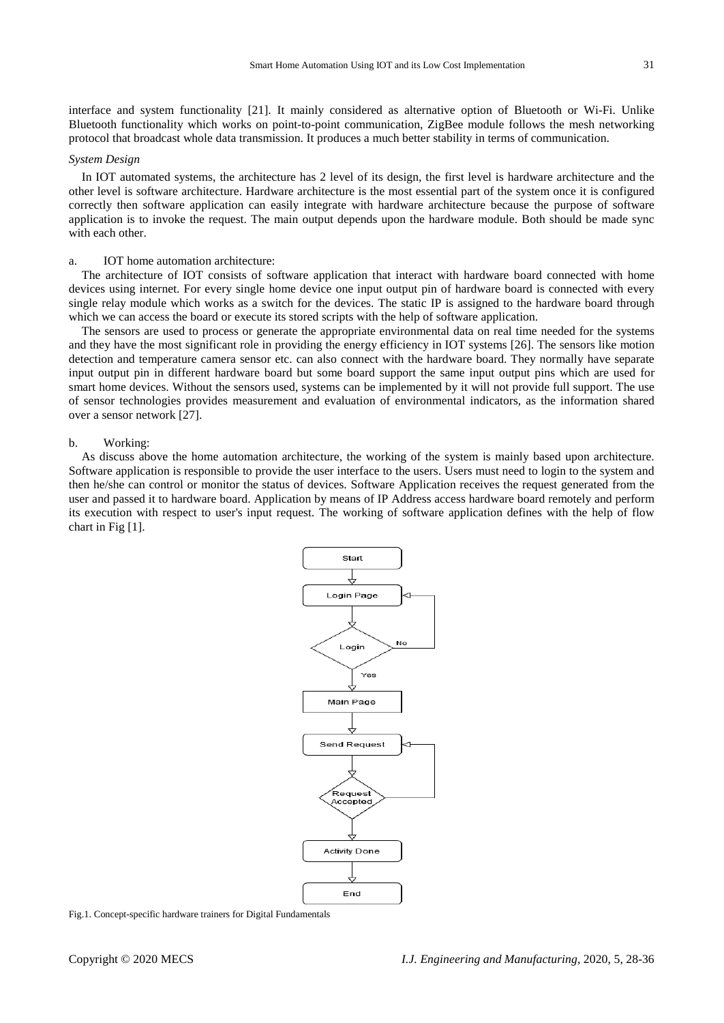interface and system functionality [21]. It mainly considered as alternative option of Bluetooth or Wi-Fi. Unlike Bluetooth functionality which works on point-to-point communication, ZigBee module follows the mesh networking protocol that broadcast whole data transmission. It produces a much better stability in terms of communication.

#### *System Design*

In IOT automated systems, the architecture has 2 level of its design, the first level is hardware architecture and the other level is software architecture. Hardware architecture is the most essential part of the system once it is configured correctly then software application can easily integrate with hardware architecture because the purpose of software application is to invoke the request. The main output depends upon the hardware module. Both should be made sync with each other.

#### a. IOT home automation architecture:

The architecture of IOT consists of software application that interact with hardware board connected with home devices using internet. For every single home device one input output pin of hardware board is connected with every single relay module which works as a switch for the devices. The static IP is assigned to the hardware board through which we can access the board or execute its stored scripts with the help of software application.

The sensors are used to process or generate the appropriate environmental data on real time needed for the systems and they have the most significant role in providing the energy efficiency in IOT systems [26]. The sensors like motion detection and temperature camera sensor etc. can also connect with the hardware board. They normally have separate input output pin in different hardware board but some board support the same input output pins which are used for smart home devices. Without the sensors used, systems can be implemented by it will not provide full support. The use of sensor technologies provides measurement and evaluation of environmental indicators, as the information shared over a sensor network [27].

#### b. Working:

As discuss above the home automation architecture, the working of the system is mainly based upon architecture. Software application is responsible to provide the user interface to the users. Users must need to login to the system and then he/she can control or monitor the status of devices. Software Application receives the request generated from the user and passed it to hardware board. Application by means of IP Address access hardware board remotely and perform its execution with respect to user's input request. The working of software application defines with the help of flow chart in Fig [1].



Fig.1. Concept-specific hardware trainers for Digital Fundamentals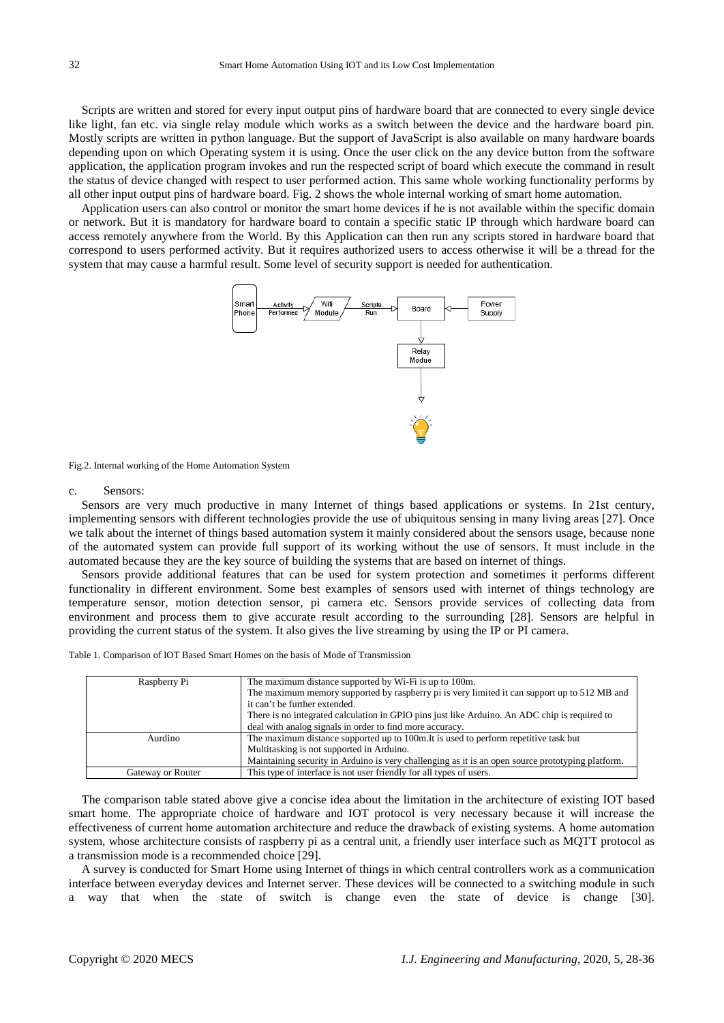Scripts are written and stored for every input output pins of hardware board that are connected to every single device like light, fan etc. via single relay module which works as a switch between the device and the hardware board pin. Mostly scripts are written in python language. But the support of JavaScript is also available on many hardware boards depending upon on which Operating system it is using. Once the user click on the any device button from the software application, the application program invokes and run the respected script of board which execute the command in result the status of device changed with respect to user performed action. This same whole working functionality performs by all other input output pins of hardware board. Fig. 2 shows the whole internal working of smart home automation.

Application users can also control or monitor the smart home devices if he is not available within the specific domain or network. But it is mandatory for hardware board to contain a specific static IP through which hardware board can access remotely anywhere from the World. By this Application can then run any scripts stored in hardware board that correspond to users performed activity. But it requires authorized users to access otherwise it will be a thread for the system that may cause a harmful result. Some level of security support is needed for authentication.



Fig.2. Internal working of the Home Automation System

#### c. Sensors:

Sensors are very much productive in many Internet of things based applications or systems. In 21st century, implementing sensors with different technologies provide the use of ubiquitous sensing in many living areas [27]. Once we talk about the internet of things based automation system it mainly considered about the sensors usage, because none of the automated system can provide full support of its working without the use of sensors. It must include in the automated because they are the key source of building the systems that are based on internet of things.

Sensors provide additional features that can be used for system protection and sometimes it performs different functionality in different environment. Some best examples of sensors used with internet of things technology are temperature sensor, motion detection sensor, pi camera etc. Sensors provide services of collecting data from environment and process them to give accurate result according to the surrounding [28]. Sensors are helpful in providing the current status of the system. It also gives the live streaming by using the IP or PI camera.

Table 1. Comparison of IOT Based Smart Homes on the basis of Mode of Transmission

| Raspberry Pi      | The maximum distance supported by Wi-Fi is up to 100m.                                            |  |
|-------------------|---------------------------------------------------------------------------------------------------|--|
|                   | The maximum memory supported by raspberry pi is very limited it can support up to 512 MB and      |  |
|                   | it can't be further extended.                                                                     |  |
|                   | There is no integrated calculation in GPIO pins just like Arduino. An ADC chip is required to     |  |
|                   | deal with analog signals in order to find more accuracy.                                          |  |
| Aurdino           | The maximum distance supported up to 100m. It is used to perform repetitive task but              |  |
|                   | Multitasking is not supported in Arduino.                                                         |  |
|                   | Maintaining security in Arduino is very challenging as it is an open source prototyping platform. |  |
| Gateway or Router | This type of interface is not user friendly for all types of users.                               |  |

The comparison table stated above give a concise idea about the limitation in the architecture of existing IOT based smart home. The appropriate choice of hardware and IOT protocol is very necessary because it will increase the effectiveness of current home automation architecture and reduce the drawback of existing systems. A home automation system, whose architecture consists of raspberry pi as a central unit, a friendly user interface such as MQTT protocol as a transmission mode is a recommended choice [29].

A survey is conducted for Smart Home using Internet of things in which central controllers work as a communication interface between everyday devices and Internet server. These devices will be connected to a switching module in such way that when the state of switch is change even the state of device is change [30].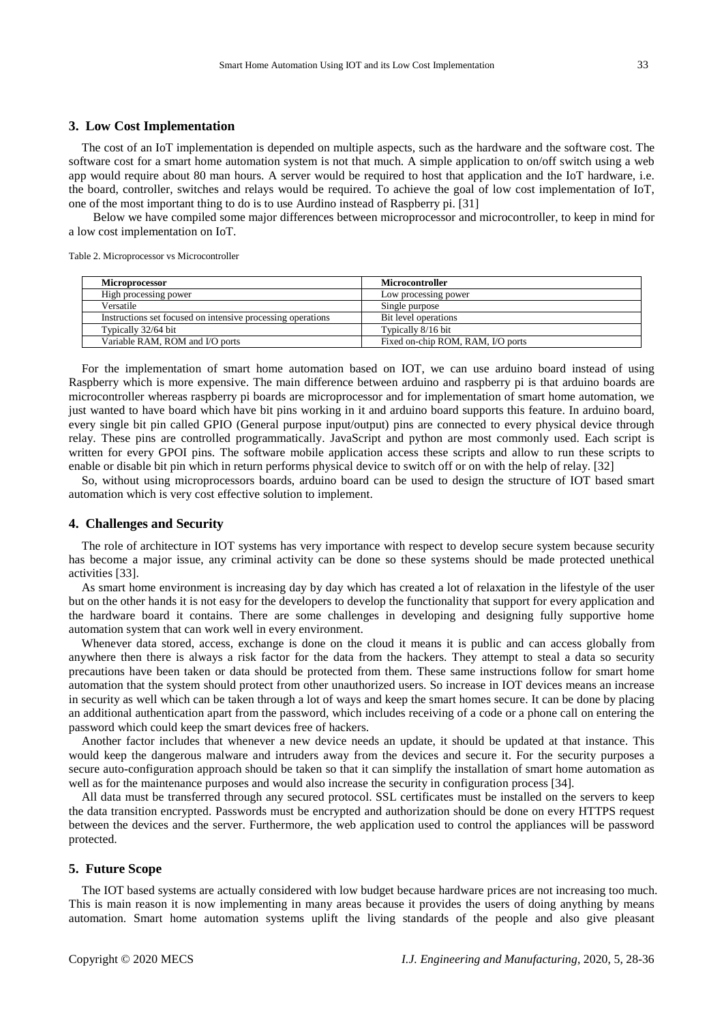## **3. Low Cost Implementation**

The cost of an IoT implementation is depended on multiple aspects, such as the hardware and the software cost. The software cost for a smart home automation system is not that much. A simple application to on/off switch using a web app would require about 80 man hours. A server would be required to host that application and the IoT hardware, i.e. the board, controller, switches and relays would be required. To achieve the goal of low cost implementation of IoT, one of the most important thing to do is to use Aurdino instead of Raspberry pi. [31]

Below we have compiled some major differences between microprocessor and microcontroller, to keep in mind for a low cost implementation on IoT.

Table 2. Microprocessor vs Microcontroller

| Microprocessor                                              | <b>Microcontroller</b>            |
|-------------------------------------------------------------|-----------------------------------|
| High processing power                                       | Low processing power              |
| Versatile                                                   | Single purpose                    |
| Instructions set focused on intensive processing operations | Bit level operations              |
| Typically 32/64 bit                                         | Typically 8/16 bit                |
| Variable RAM, ROM and I/O ports                             | Fixed on-chip ROM, RAM, I/O ports |

For the implementation of smart home automation based on IOT, we can use arduino board instead of using Raspberry which is more expensive. The main difference between arduino and raspberry pi is that arduino boards are microcontroller whereas raspberry pi boards are microprocessor and for implementation of smart home automation, we just wanted to have board which have bit pins working in it and arduino board supports this feature. In arduino board, every single bit pin called GPIO (General purpose input/output) pins are connected to every physical device through relay. These pins are controlled programmatically. JavaScript and python are most commonly used. Each script is written for every GPOI pins. The software mobile application access these scripts and allow to run these scripts to enable or disable bit pin which in return performs physical device to switch off or on with the help of relay. [32]

So, without using microprocessors boards, arduino board can be used to design the structure of IOT based smart automation which is very cost effective solution to implement.

## **4. Challenges and Security**

The role of architecture in IOT systems has very importance with respect to develop secure system because security has become a major issue, any criminal activity can be done so these systems should be made protected unethical activities [33].

As smart home environment is increasing day by day which has created a lot of relaxation in the lifestyle of the user but on the other hands it is not easy for the developers to develop the functionality that support for every application and the hardware board it contains. There are some challenges in developing and designing fully supportive home automation system that can work well in every environment.

Whenever data stored, access, exchange is done on the cloud it means it is public and can access globally from anywhere then there is always a risk factor for the data from the hackers. They attempt to steal a data so security precautions have been taken or data should be protected from them. These same instructions follow for smart home automation that the system should protect from other unauthorized users. So increase in IOT devices means an increase in security as well which can be taken through a lot of ways and keep the smart homes secure. It can be done by placing an additional authentication apart from the password, which includes receiving of a code or a phone call on entering the password which could keep the smart devices free of hackers.

Another factor includes that whenever a new device needs an update, it should be updated at that instance. This would keep the dangerous malware and intruders away from the devices and secure it. For the security purposes a secure auto-configuration approach should be taken so that it can simplify the installation of smart home automation as well as for the maintenance purposes and would also increase the security in configuration process [34].

All data must be transferred through any secured protocol. SSL certificates must be installed on the servers to keep the data transition encrypted. Passwords must be encrypted and authorization should be done on every HTTPS request between the devices and the server. Furthermore, the web application used to control the appliances will be password protected.

## **5. Future Scope**

The IOT based systems are actually considered with low budget because hardware prices are not increasing too much. This is main reason it is now implementing in many areas because it provides the users of doing anything by means automation. Smart home automation systems uplift the living standards of the people and also give pleasant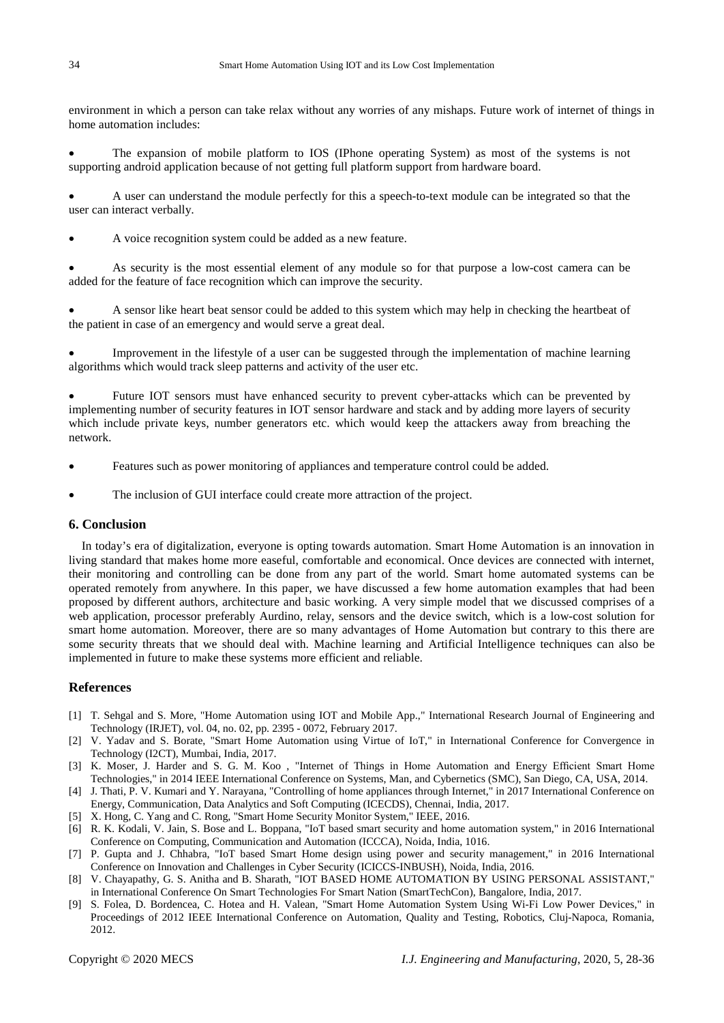environment in which a person can take relax without any worries of any mishaps. Future work of internet of things in home automation includes:

• The expansion of mobile platform to IOS (IPhone operating System) as most of the systems is not supporting android application because of not getting full platform support from hardware board.

• A user can understand the module perfectly for this a speech-to-text module can be integrated so that the user can interact verbally.

• A voice recognition system could be added as a new feature.

• As security is the most essential element of any module so for that purpose a low-cost camera can be added for the feature of face recognition which can improve the security.

• A sensor like heart beat sensor could be added to this system which may help in checking the heartbeat of the patient in case of an emergency and would serve a great deal.

• Improvement in the lifestyle of a user can be suggested through the implementation of machine learning algorithms which would track sleep patterns and activity of the user etc.

• Future IOT sensors must have enhanced security to prevent cyber-attacks which can be prevented by implementing number of security features in IOT sensor hardware and stack and by adding more layers of security which include private keys, number generators etc. which would keep the attackers away from breaching the network.

- Features such as power monitoring of appliances and temperature control could be added.
- The inclusion of GUI interface could create more attraction of the project.

## **6. Conclusion**

In today's era of digitalization, everyone is opting towards automation. Smart Home Automation is an innovation in living standard that makes home more easeful, comfortable and economical. Once devices are connected with internet, their monitoring and controlling can be done from any part of the world. Smart home automated systems can be operated remotely from anywhere. In this paper, we have discussed a few home automation examples that had been proposed by different authors, architecture and basic working. A very simple model that we discussed comprises of a web application, processor preferably Aurdino, relay, sensors and the device switch, which is a low-cost solution for smart home automation. Moreover, there are so many advantages of Home Automation but contrary to this there are some security threats that we should deal with. Machine learning and Artificial Intelligence techniques can also be implemented in future to make these systems more efficient and reliable.

## **References**

- [1] T. Sehgal and S. More, "Home Automation using IOT and Mobile App.," International Research Journal of Engineering and Technology (IRJET), vol. 04, no. 02, pp. 2395 - 0072, February 2017.
- [2] V. Yadav and S. Borate, "Smart Home Automation using Virtue of IoT," in International Conference for Convergence in Technology (I2CT), Mumbai, India, 2017.
- [3] K. Moser, J. Harder and S. G. M. Koo , "Internet of Things in Home Automation and Energy Efficient Smart Home Technologies," in 2014 IEEE International Conference on Systems, Man, and Cybernetics (SMC), San Diego, CA, USA, 2014.
- [4] J. Thati, P. V. Kumari and Y. Narayana, "Controlling of home appliances through Internet," in 2017 International Conference on Energy, Communication, Data Analytics and Soft Computing (ICECDS), Chennai, India, 2017.
- [5] X. Hong, C. Yang and C. Rong, "Smart Home Security Monitor System," IEEE, 2016.
- [6] R. K. Kodali, V. Jain, S. Bose and L. Boppana, "IoT based smart security and home automation system," in 2016 International Conference on Computing, Communication and Automation (ICCCA), Noida, India, 1016.
- [7] P. Gupta and J. Chhabra, "IoT based Smart Home design using power and security management," in 2016 International Conference on Innovation and Challenges in Cyber Security (ICICCS-INBUSH), Noida, India, 2016.
- [8] V. Chayapathy, G. S. Anitha and B. Sharath, "IOT BASED HOME AUTOMATION BY USING PERSONAL ASSISTANT," in International Conference On Smart Technologies For Smart Nation (SmartTechCon), Bangalore, India, 2017.
- [9] S. Folea, D. Bordencea, C. Hotea and H. Valean, "Smart Home Automation System Using Wi-Fi Low Power Devices," in Proceedings of 2012 IEEE International Conference on Automation, Quality and Testing, Robotics, Cluj-Napoca, Romania, 2012.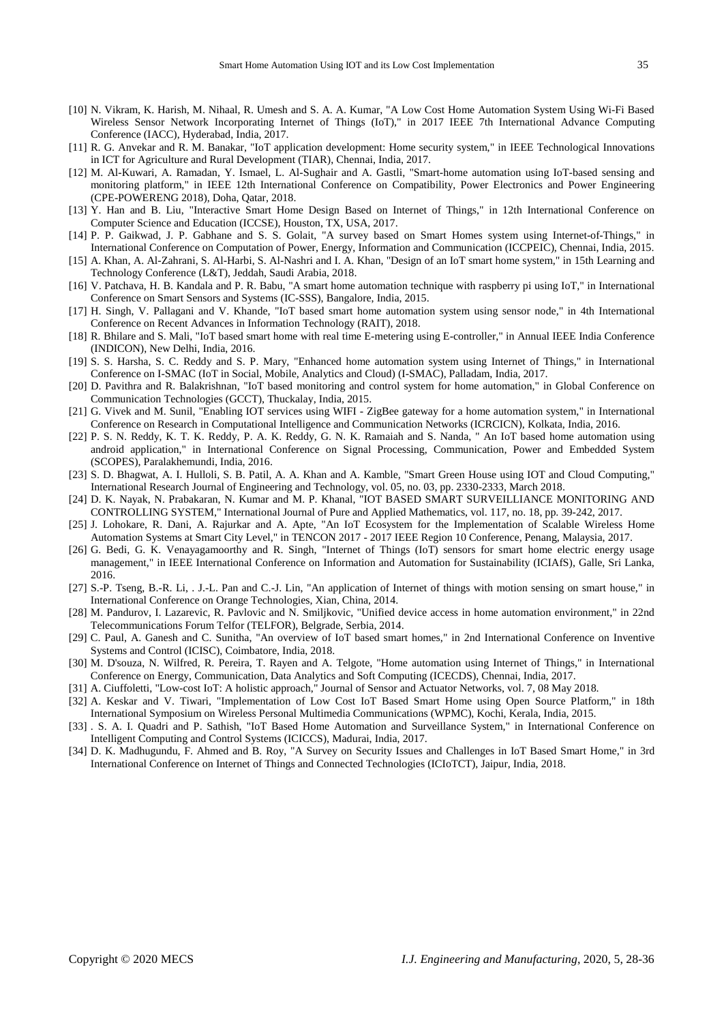- [10] N. Vikram, K. Harish, M. Nihaal, R. Umesh and S. A. A. Kumar, "A Low Cost Home Automation System Using Wi-Fi Based Wireless Sensor Network Incorporating Internet of Things (IoT)," in 2017 IEEE 7th International Advance Computing Conference (IACC), Hyderabad, India, 2017.
- [11] R. G. Anvekar and R. M. Banakar, "IoT application development: Home security system," in IEEE Technological Innovations in ICT for Agriculture and Rural Development (TIAR), Chennai, India, 2017.
- [12] M. Al-Kuwari, A. Ramadan, Y. Ismael, L. Al-Sughair and A. Gastli, "Smart-home automation using IoT-based sensing and monitoring platform," in IEEE 12th International Conference on Compatibility, Power Electronics and Power Engineering (CPE-POWERENG 2018), Doha, Qatar, 2018.
- [13] Y. Han and B. Liu, "Interactive Smart Home Design Based on Internet of Things," in 12th International Conference on Computer Science and Education (ICCSE), Houston, TX, USA, 2017.
- [14] P. P. Gaikwad, J. P. Gabhane and S. S. Golait, "A survey based on Smart Homes system using Internet-of-Things," in International Conference on Computation of Power, Energy, Information and Communication (ICCPEIC), Chennai, India, 2015.
- [15] A. Khan, A. Al-Zahrani, S. Al-Harbi, S. Al-Nashri and I. A. Khan, "Design of an IoT smart home system," in 15th Learning and Technology Conference (L&T), Jeddah, Saudi Arabia, 2018.
- [16] V. Patchava, H. B. Kandala and P. R. Babu, "A smart home automation technique with raspberry pi using IoT," in International Conference on Smart Sensors and Systems (IC-SSS), Bangalore, India, 2015.
- [17] H. Singh, V. Pallagani and V. Khande, "IoT based smart home automation system using sensor node," in 4th International Conference on Recent Advances in Information Technology (RAIT), 2018.
- [18] R. Bhilare and S. Mali, "IoT based smart home with real time E-metering using E-controller," in Annual IEEE India Conference (INDICON), New Delhi, India, 2016.
- [19] S. S. Harsha, S. C. Reddy and S. P. Mary, "Enhanced home automation system using Internet of Things," in International Conference on I-SMAC (IoT in Social, Mobile, Analytics and Cloud) (I-SMAC), Palladam, India, 2017.
- [20] D. Pavithra and R. Balakrishnan, "IoT based monitoring and control system for home automation," in Global Conference on Communication Technologies (GCCT), Thuckalay, India, 2015.
- [21] G. Vivek and M. Sunil, "Enabling IOT services using WIFI ZigBee gateway for a home automation system," in International Conference on Research in Computational Intelligence and Communication Networks (ICRCICN), Kolkata, India, 2016.
- [22] P. S. N. Reddy, K. T. K. Reddy, P. A. K. Reddy, G. N. K. Ramaiah and S. Nanda, " An IoT based home automation using android application," in International Conference on Signal Processing, Communication, Power and Embedded System (SCOPES), Paralakhemundi, India, 2016.
- [23] S. D. Bhagwat, A. I. Hulloli, S. B. Patil, A. A. Khan and A. Kamble, "Smart Green House using IOT and Cloud Computing," International Research Journal of Engineering and Technology, vol. 05, no. 03, pp. 2330-2333, March 2018.
- [24] D. K. Nayak, N. Prabakaran, N. Kumar and M. P. Khanal, "IOT BASED SMART SURVEILLIANCE MONITORING AND CONTROLLING SYSTEM," International Journal of Pure and Applied Mathematics, vol. 117, no. 18, pp. 39-242, 2017.
- [25] J. Lohokare, R. Dani, A. Rajurkar and A. Apte, "An IoT Ecosystem for the Implementation of Scalable Wireless Home Automation Systems at Smart City Level," in TENCON 2017 - 2017 IEEE Region 10 Conference, Penang, Malaysia, 2017.
- [26] G. Bedi, G. K. Venayagamoorthy and R. Singh, "Internet of Things (IoT) sensors for smart home electric energy usage management," in IEEE International Conference on Information and Automation for Sustainability (ICIAfS), Galle, Sri Lanka, 2016.
- [27] S.-P. Tseng, B.-R. Li, . J.-L. Pan and C.-J. Lin, "An application of Internet of things with motion sensing on smart house," in International Conference on Orange Technologies, Xian, China, 2014.
- [28] M. Pandurov, I. Lazarevic, R. Pavlovic and N. Smiljkovic, "Unified device access in home automation environment," in 22nd Telecommunications Forum Telfor (TELFOR), Belgrade, Serbia, 2014.
- [29] C. Paul, A. Ganesh and C. Sunitha, "An overview of IoT based smart homes," in 2nd International Conference on Inventive Systems and Control (ICISC), Coimbatore, India, 2018.
- [30] M. D'souza, N. Wilfred, R. Pereira, T. Rayen and A. Telgote, "Home automation using Internet of Things," in International Conference on Energy, Communication, Data Analytics and Soft Computing (ICECDS), Chennai, India, 2017.
- [31] A. Ciuffoletti, "Low-cost IoT: A holistic approach," Journal of Sensor and Actuator Networks, vol. 7, 08 May 2018.
- [32] A. Keskar and V. Tiwari, "Implementation of Low Cost IoT Based Smart Home using Open Source Platform," in 18th International Symposium on Wireless Personal Multimedia Communications (WPMC), Kochi, Kerala, India, 2015.
- [33] . S. A. I. Quadri and P. Sathish, "IoT Based Home Automation and Surveillance System," in International Conference on Intelligent Computing and Control Systems (ICICCS), Madurai, India, 2017.
- [34] D. K. Madhugundu, F. Ahmed and B. Roy, "A Survey on Security Issues and Challenges in IoT Based Smart Home," in 3rd International Conference on Internet of Things and Connected Technologies (ICIoTCT), Jaipur, India, 2018.